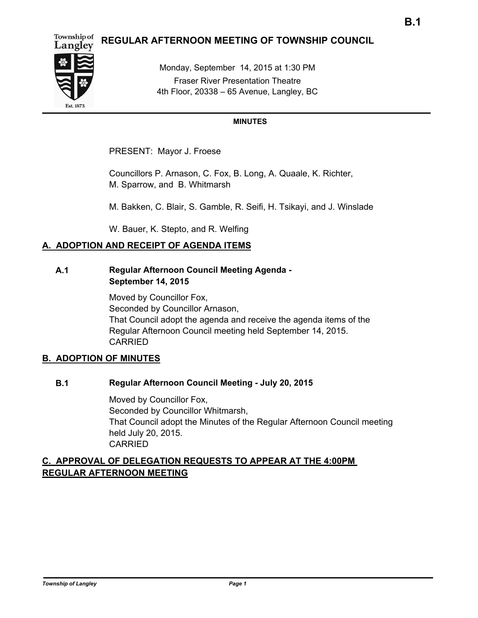#### Township of **REGULAR AFTERNOON MEETING OF TOWNSHIP COUNCIL**



Monday, September 14, 2015 at 1:30 PM Fraser River Presentation Theatre 4th Floor, 20338 – 65 Avenue, Langley, BC

# **MINUTES**

PRESENT: Mayor J. Froese

Councillors P. Arnason, C. Fox, B. Long, A. Quaale, K. Richter, M. Sparrow, and B. Whitmarsh

M. Bakken, C. Blair, S. Gamble, R. Seifi, H. Tsikayi, and J. Winslade

W. Bauer, K. Stepto, and R. Welfing

# **A. ADOPTION AND RECEIPT OF AGENDA ITEMS**

# **A.1 Regular Afternoon Council Meeting Agenda - September 14, 2015**

Moved by Councillor Fox, Seconded by Councillor Arnason, That Council adopt the agenda and receive the agenda items of the Regular Afternoon Council meeting held September 14, 2015. CARRIED

# **B. ADOPTION OF MINUTES**

# **B.1 Regular Afternoon Council Meeting - July 20, 2015**

Moved by Councillor Fox, Seconded by Councillor Whitmarsh, That Council adopt the Minutes of the Regular Afternoon Council meeting held July 20, 2015. CARRIED

# **C. APPROVAL OF DELEGATION REQUESTS TO APPEAR AT THE 4:00PM REGULAR AFTERNOON MEETING**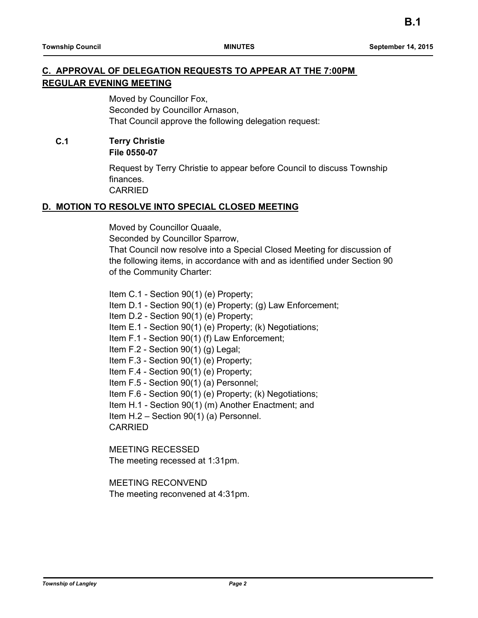# **C. APPROVAL OF DELEGATION REQUESTS TO APPEAR AT THE 7:00PM REGULAR EVENING MEETING**

Moved by Councillor Fox, Seconded by Councillor Arnason, That Council approve the following delegation request:

**C.1 Terry Christie File 0550-07**

> Request by Terry Christie to appear before Council to discuss Township finances. CARRIED

# **D. MOTION TO RESOLVE INTO SPECIAL CLOSED MEETING**

Moved by Councillor Quaale,

Seconded by Councillor Sparrow,

That Council now resolve into a Special Closed Meeting for discussion of the following items, in accordance with and as identified under Section 90 of the Community Charter:

Item C.1 - Section 90(1) (e) Property; Item D.1 - Section 90(1) (e) Property; (g) Law Enforcement; Item D.2 - Section 90(1) (e) Property; Item E.1 - Section 90(1) (e) Property; (k) Negotiations; Item F.1 - Section 90(1) (f) Law Enforcement; Item F.2 - Section 90(1) (g) Legal; Item F.3 - Section 90(1) (e) Property; Item F.4 - Section 90(1) (e) Property; Item F.5 - Section 90(1) (a) Personnel; Item F.6 - Section 90(1) (e) Property; (k) Negotiations; Item H.1 - Section 90(1) (m) Another Enactment; and Item H.2 – Section 90(1) (a) Personnel. CARRIED

MEETING RECESSED The meeting recessed at 1:31pm.

MEETING RECONVEND The meeting reconvened at 4:31pm.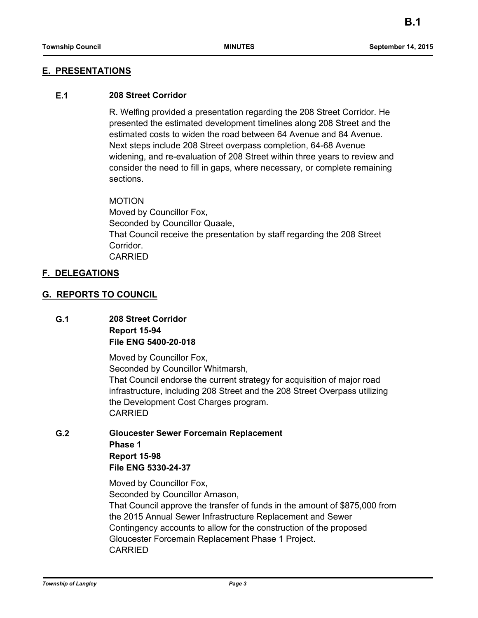# **E. PRESENTATIONS**

### **E.1 208 Street Corridor**

R. Welfing provided a presentation regarding the 208 Street Corridor. He presented the estimated development timelines along 208 Street and the estimated costs to widen the road between 64 Avenue and 84 Avenue. Next steps include 208 Street overpass completion, 64-68 Avenue widening, and re-evaluation of 208 Street within three years to review and consider the need to fill in gaps, where necessary, or complete remaining sections.

MOTION

Moved by Councillor Fox, Seconded by Councillor Quaale, That Council receive the presentation by staff regarding the 208 Street Corridor. CARRIED

#### **F. DELEGATIONS**

#### **G. REPORTS TO COUNCIL**

**G.1 208 Street Corridor Report 15-94 File ENG 5400-20-018**

> Moved by Councillor Fox, Seconded by Councillor Whitmarsh, That Council endorse the current strategy for acquisition of major road infrastructure, including 208 Street and the 208 Street Overpass utilizing the Development Cost Charges program. CARRIED

**G.2 Gloucester Sewer Forcemain Replacement Phase 1 Report 15-98 File ENG 5330-24-37**

> Moved by Councillor Fox, Seconded by Councillor Arnason, That Council approve the transfer of funds in the amount of \$875,000 from the 2015 Annual Sewer Infrastructure Replacement and Sewer Contingency accounts to allow for the construction of the proposed Gloucester Forcemain Replacement Phase 1 Project. CARRIED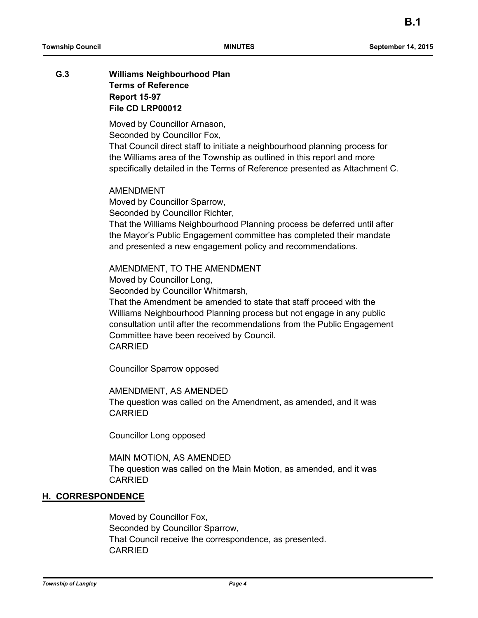# **G.3 Williams Neighbourhood Plan Terms of Reference Report 15-97 File CD LRP00012**

Moved by Councillor Arnason, Seconded by Councillor Fox,

That Council direct staff to initiate a neighbourhood planning process for the Williams area of the Township as outlined in this report and more specifically detailed in the Terms of Reference presented as Attachment C.

AMENDMENT Moved by Councillor Sparrow, Seconded by Councillor Richter, That the Williams Neighbourhood Planning process be deferred until after the Mayor's Public Engagement committee has completed their mandate and presented a new engagement policy and recommendations.

# AMENDMENT, TO THE AMENDMENT

Moved by Councillor Long,

Seconded by Councillor Whitmarsh,

That the Amendment be amended to state that staff proceed with the Williams Neighbourhood Planning process but not engage in any public consultation until after the recommendations from the Public Engagement Committee have been received by Council. CARRIED

Councillor Sparrow opposed

### AMENDMENT, AS AMENDED

The question was called on the Amendment, as amended, and it was CARRIED

Councillor Long opposed

#### MAIN MOTION, AS AMENDED

The question was called on the Main Motion, as amended, and it was CARRIED

# **H. CORRESPONDENCE**

Moved by Councillor Fox, Seconded by Councillor Sparrow, That Council receive the correspondence, as presented. CARRIED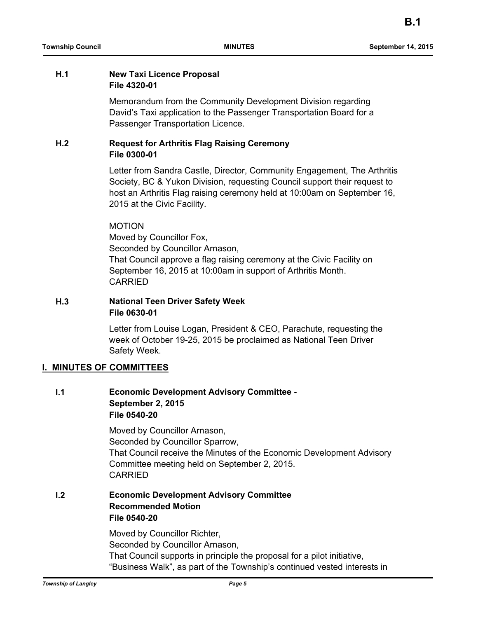### **H.1 New Taxi Licence Proposal File 4320-01**

Memorandum from the Community Development Division regarding David's Taxi application to the Passenger Transportation Board for a Passenger Transportation Licence.

# **H.2 Request for Arthritis Flag Raising Ceremony File 0300-01**

Letter from Sandra Castle, Director, Community Engagement, The Arthritis Society, BC & Yukon Division, requesting Council support their request to host an Arthritis Flag raising ceremony held at 10:00am on September 16, 2015 at the Civic Facility.

# MOTION

Moved by Councillor Fox, Seconded by Councillor Arnason, That Council approve a flag raising ceremony at the Civic Facility on September 16, 2015 at 10:00am in support of Arthritis Month. CARRIED

# **H.3 National Teen Driver Safety Week File 0630-01**

Letter from Louise Logan, President & CEO, Parachute, requesting the week of October 19-25, 2015 be proclaimed as National Teen Driver Safety Week.

# **I. MINUTES OF COMMITTEES**

# **I.1 Economic Development Advisory Committee - September 2, 2015 File 0540-20**

Moved by Councillor Arnason, Seconded by Councillor Sparrow, That Council receive the Minutes of the Economic Development Advisory Committee meeting held on September 2, 2015. CARRIED

**I.2 Economic Development Advisory Committee Recommended Motion File 0540-20**

> Moved by Councillor Richter, Seconded by Councillor Arnason, That Council supports in principle the proposal for a pilot initiative, "Business Walk", as part of the Township's continued vested interests in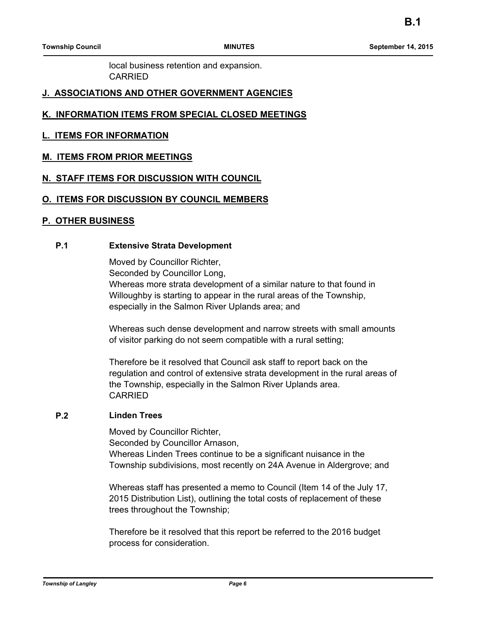local business retention and expansion. CARRIED

# **J. ASSOCIATIONS AND OTHER GOVERNMENT AGENCIES**

# **K. INFORMATION ITEMS FROM SPECIAL CLOSED MEETINGS**

# **L. ITEMS FOR INFORMATION**

# **M. ITEMS FROM PRIOR MEETINGS**

# **N. STAFF ITEMS FOR DISCUSSION WITH COUNCIL**

### **O. ITEMS FOR DISCUSSION BY COUNCIL MEMBERS**

### **P. OTHER BUSINESS**

# **P.1 Extensive Strata Development**

Moved by Councillor Richter, Seconded by Councillor Long, Whereas more strata development of a similar nature to that found in Willoughby is starting to appear in the rural areas of the Township, especially in the Salmon River Uplands area; and

Whereas such dense development and narrow streets with small amounts of visitor parking do not seem compatible with a rural setting;

Therefore be it resolved that Council ask staff to report back on the regulation and control of extensive strata development in the rural areas of the Township, especially in the Salmon River Uplands area. CARRIED

#### **P.2 Linden Trees**

Moved by Councillor Richter, Seconded by Councillor Arnason, Whereas Linden Trees continue to be a significant nuisance in the Township subdivisions, most recently on 24A Avenue in Aldergrove; and

Whereas staff has presented a memo to Council (Item 14 of the July 17, 2015 Distribution List), outlining the total costs of replacement of these trees throughout the Township;

Therefore be it resolved that this report be referred to the 2016 budget process for consideration.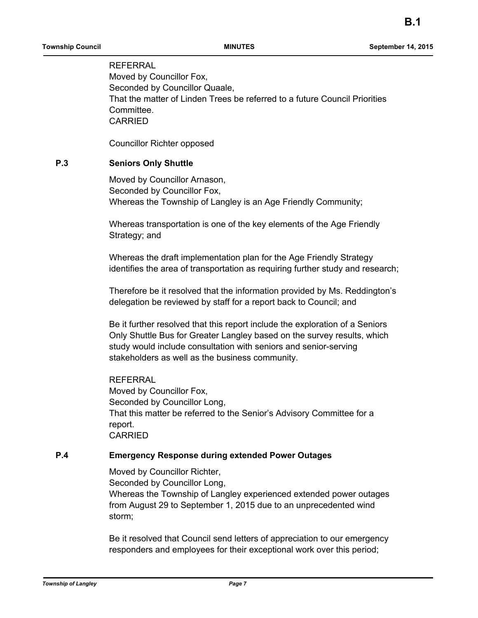**REFERRAL** Moved by Councillor Fox, Seconded by Councillor Quaale, That the matter of Linden Trees be referred to a future Council Priorities Committee. **CARRIED** 

Councillor Richter opposed

# **P.3 Seniors Only Shuttle**

Moved by Councillor Arnason, Seconded by Councillor Fox, Whereas the Township of Langley is an Age Friendly Community;

Whereas transportation is one of the key elements of the Age Friendly Strategy; and

Whereas the draft implementation plan for the Age Friendly Strategy identifies the area of transportation as requiring further study and research;

Therefore be it resolved that the information provided by Ms. Reddington's delegation be reviewed by staff for a report back to Council; and

Be it further resolved that this report include the exploration of a Seniors Only Shuttle Bus for Greater Langley based on the survey results, which study would include consultation with seniors and senior-serving stakeholders as well as the business community.

**REFERRAL** Moved by Councillor Fox, Seconded by Councillor Long, That this matter be referred to the Senior's Advisory Committee for a report. CARRIED

#### **P.4 Emergency Response during extended Power Outages**

Moved by Councillor Richter, Seconded by Councillor Long, Whereas the Township of Langley experienced extended power outages from August 29 to September 1, 2015 due to an unprecedented wind storm;

Be it resolved that Council send letters of appreciation to our emergency responders and employees for their exceptional work over this period;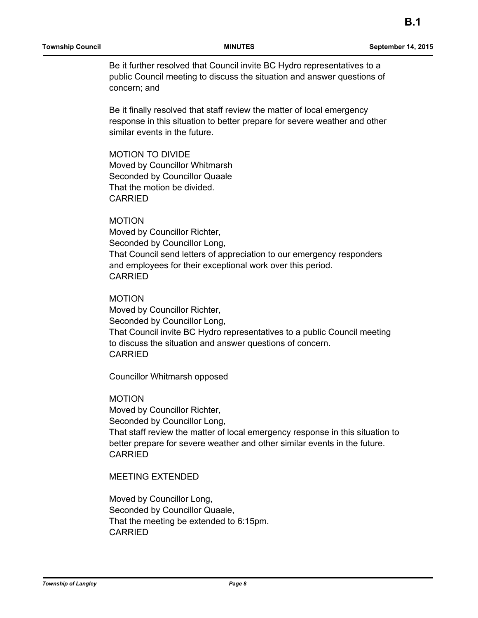Be it further resolved that Council invite BC Hydro representatives to a public Council meeting to discuss the situation and answer questions of concern; and

Be it finally resolved that staff review the matter of local emergency response in this situation to better prepare for severe weather and other similar events in the future.

MOTION TO DIVIDE Moved by Councillor Whitmarsh Seconded by Councillor Quaale That the motion be divided. CARRIED

# MOTION

Moved by Councillor Richter, Seconded by Councillor Long, That Council send letters of appreciation to our emergency responders and employees for their exceptional work over this period. CARRIED

### MOTION

Moved by Councillor Richter, Seconded by Councillor Long, That Council invite BC Hydro representatives to a public Council meeting to discuss the situation and answer questions of concern. CARRIED

Councillor Whitmarsh opposed

### MOTION

Moved by Councillor Richter, Seconded by Councillor Long, That staff review the matter of local emergency response in this situation to better prepare for severe weather and other similar events in the future. CARRIED

# MEETING EXTENDED

Moved by Councillor Long, Seconded by Councillor Quaale, That the meeting be extended to 6:15pm. CARRIED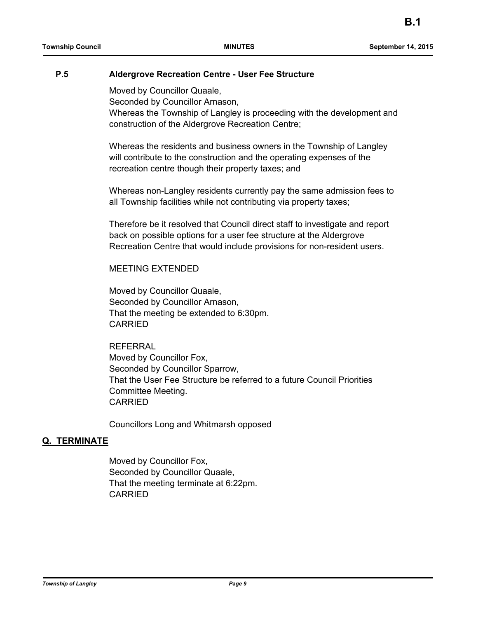### **P.5 Aldergrove Recreation Centre - User Fee Structure**

Moved by Councillor Quaale,

Seconded by Councillor Arnason,

Whereas the Township of Langley is proceeding with the development and construction of the Aldergrove Recreation Centre;

Whereas the residents and business owners in the Township of Langley will contribute to the construction and the operating expenses of the recreation centre though their property taxes; and

Whereas non-Langley residents currently pay the same admission fees to all Township facilities while not contributing via property taxes;

Therefore be it resolved that Council direct staff to investigate and report back on possible options for a user fee structure at the Aldergrove Recreation Centre that would include provisions for non-resident users.

#### MEETING EXTENDED

Moved by Councillor Quaale, Seconded by Councillor Arnason, That the meeting be extended to 6:30pm. CARRIED

**REFERRAL** Moved by Councillor Fox, Seconded by Councillor Sparrow, That the User Fee Structure be referred to a future Council Priorities Committee Meeting. CARRIED

Councillors Long and Whitmarsh opposed

### **Q. TERMINATE**

Moved by Councillor Fox, Seconded by Councillor Quaale, That the meeting terminate at 6:22pm. CARRIED